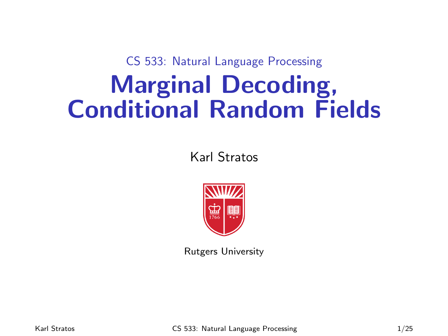CS 533: Natural Language Processing

# Marginal Decoding, Conditional Random Fields

Karl Stratos



Rutgers University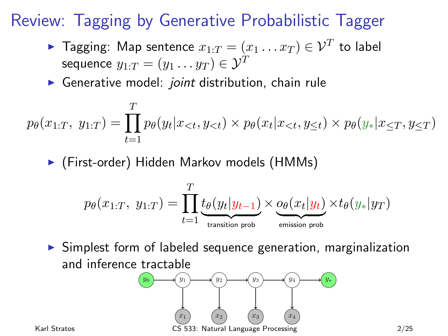## Review: Tagging by Generative Probabilistic Tagger

- $\blacktriangleright$  Tagging: Map sentence  $x_{1:T} = (x_1 \ldots x_T) \in \mathcal{V}^T$  to label sequence  $y_1 \cdot_T = (y_1 \dots y_T) \in \mathcal{Y}^T$
- Generative model: *joint* distribution, chain rule

$$
p_{\theta}(x_{1:T}, y_{1:T}) = \prod_{t=1}^{T} p_{\theta}(y_t | x_{< t}, y_{< t}) \times p_{\theta}(x_t | x_{< t}, y_{\leq t}) \times p_{\theta}(y_* | x_{\leq T}, y_{\leq T})
$$

▶ (First-order) Hidden Markov models (HMMs)

$$
p_{\theta}(x_{1:T}, y_{1:T}) = \prod_{t=1}^{T} \underbrace{t_{\theta}(y_t|y_{t-1})}_{\text{transition prob}} \times \underbrace{o_{\theta}(x_t|y_t)}_{\text{emission prob}} \times t_{\theta}(y_*|y_T)
$$

 $\triangleright$  Simplest form of labeled sequence generation, marginalization and inference tractable

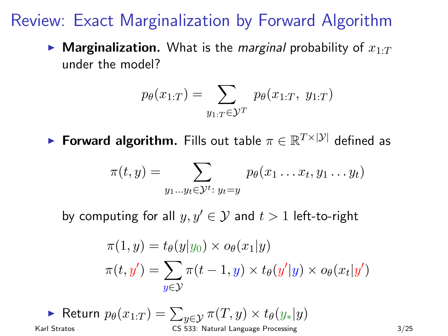#### Review: Exact Marginalization by Forward Algorithm

**Marginalization.** What is the *marginal* probability of  $x_{1:T}$ under the model?

$$
p_{\theta}(x_{1:T}) = \sum_{y_{1:T} \in \mathcal{Y}^T} p_{\theta}(x_{1:T}, y_{1:T})
$$

► Forward algorithm. Fills out table  $\pi \in \mathbb{R}^{T \times |\mathcal{Y}|}$  defined as

$$
\pi(t,y) = \sum_{y_1 \dots y_t \in \mathcal{Y}^t : y_t = y} p_{\theta}(x_1 \dots x_t, y_1 \dots y_t)
$$

by computing for all  $y, y' \in \mathcal{Y}$  and  $t > 1$  left-to-right

$$
\pi(1, y) = t_{\theta}(y|y_0) \times o_{\theta}(x_1|y)
$$
  

$$
\pi(t, y') = \sum_{y \in \mathcal{Y}} \pi(t - 1, y) \times t_{\theta}(y'|y) \times o_{\theta}(x_t|y')
$$

$$
\text{Return } p_{\theta}(x_{1:T}) = \sum_{y \in \mathcal{Y}} \pi(T, y) \times t_{\theta}(y_*|y)
$$
\nKarl Stratos

\n
$$
\text{Karl Stratos}
$$
\n3/25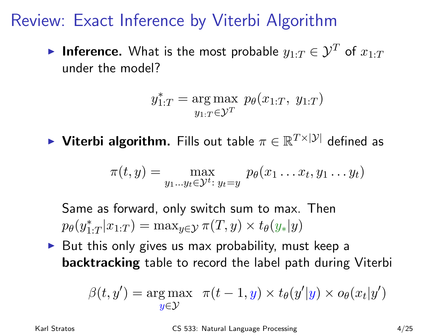#### Review: Exact Inference by Viterbi Algorithm

**Inference.** What is the most probable  $y_1 \cdot T \in \mathcal{Y}^T$  of  $x_1 \cdot T$ under the model?

$$
y_{1:T}^* = \underset{y_{1:T} \in \mathcal{Y}^T}{\arg \max} \ p_{\theta}(x_{1:T}, y_{1:T})
$$

► Viterbi algorithm. Fills out table  $\pi \in \mathbb{R}^{T \times |\mathcal{Y}|}$  defined as

$$
\pi(t,y) = \max_{y_1 \dots y_t \in \mathcal{Y}^t : y_t = y} p_{\theta}(x_1 \dots x_t, y_1 \dots y_t)
$$

Same as forward, only switch sum to max. Then  $p_{\theta}(y_{1:T}^*|x_{1:T}) = \max_{y \in \mathcal{Y}} \pi(T, y) \times t_{\theta}(y_*|y)$ 

 $\triangleright$  But this only gives us max probability, must keep a backtracking table to record the label path during Viterbi

$$
\beta(t, y') = \underset{y \in \mathcal{Y}}{\arg \max} \quad \pi(t - 1, y) \times t_{\theta}(y'|y) \times o_{\theta}(x_t|y')
$$

Karl Stratos CS 533: Natural Language Processing 4/25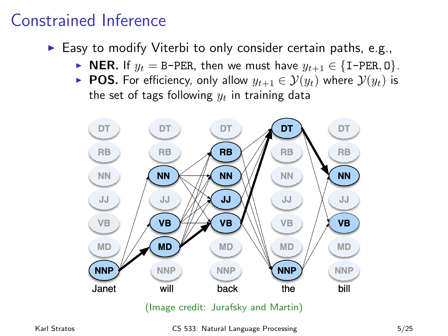#### Constrained Inference

- $\triangleright$  Easy to modify Viterbi to only consider certain paths, e.g.,
	- ► NER. If  $y_t = B$ -PER, then we must have  $y_{t+1} \in \{I$ -PER, 0 $\}$ .
	- ► POS. For efficiency, only allow  $y_{t+1} \in \mathcal{Y}(y_t)$  where  $\mathcal{Y}(y_t)$  is the set of tags following  $y_t$  in training data

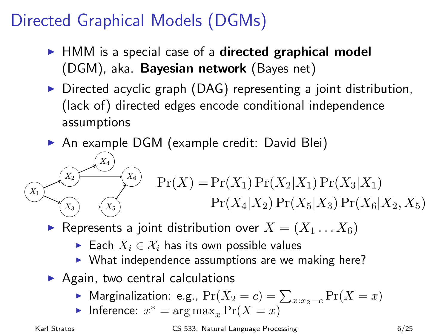## Directed Graphical Models (DGMs)

- $\blacktriangleright$  HMM is a special case of a **directed graphical model** (DGM), aka. Bayesian network (Bayes net)
- $\triangleright$  Directed acyclic graph (DAG) representing a joint distribution, (lack of) directed edges encode conditional independence assumptions
- ▶ An example DGM (example credit: David Blei)

$$
(X_1)(X_2)(X_3)
$$
  
\n
$$
(X_1)(X_2)(X_1) \Pr(X_2|X_1) \Pr(X_3|X_1)
$$
  
\n
$$
Pr(X_4|X_2) \Pr(X_5|X_3) \Pr(X_6|X_2, X_5)
$$

- Represents a joint distribution over  $X = (X_1 \dots X_6)$ 
	- ► Each  $X_i \in \mathcal{X}_i$  has its own possible values
	- $\triangleright$  What independence assumptions are we making here?
- $\triangleright$  Again, two central calculations
	- $\blacktriangleright$  Marginalization: e.g.,  $\Pr(X_2 = c) = \sum_{x:x_2=c} \Pr(X = x)$
	- ► Inference:  $x^* = \arg \max_x \Pr(X = x)$

Karl Stratos CS 533: Natural Language Processing 6/25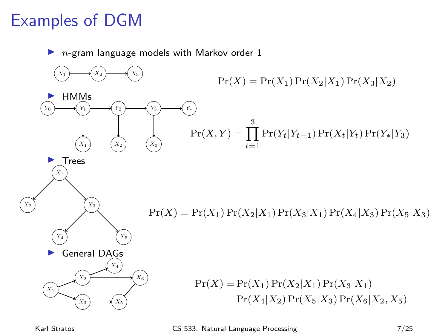## Examples of DGM

 $n$ -gram language models with Markov order 1



Karl Stratos **CS 533: Natural Language Processing** 7/25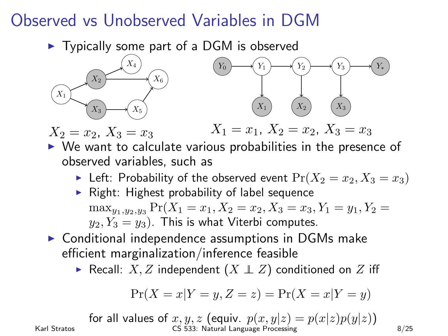#### Observed vs Unobserved Variables in DGM

 $\blacktriangleright$  Typically some part of a DGM is observed



 $X_2 = x_2, X_3 = x_3$  $X_1 = x_1, X_2 = x_2, X_3 = x_3$ 

- $\triangleright$  We want to calculate various probabilities in the presence of observed variables, such as
	- Eleft: Probability of the observed event  $Pr(X_2 = x_2, X_3 = x_3)$
	- $\triangleright$  Right: Highest probability of label sequence  $\max_{y_1,y_2,y_3} \Pr(X_1 = x_1, X_2 = x_2, X_3 = x_3, Y_1 = y_1, Y_2 = y_2$  $y_2, Y_3 = y_3$ . This is what Viterbi computes.
- $\triangleright$  Conditional independence assumptions in DGMs make efficient marginalization/inference feasible
	- ► Recall: X, Z independent  $(X \perp Z)$  conditioned on Z iff

$$
\Pr(X = x | Y = y, Z = z) = \Pr(X = x | Y = y)
$$

for all values of 
$$
x, y, z
$$
 (equiviv.  $p(x, y|z) = p(x|z)p(y|z)$ )  
Karl Stratos  
Karl Stratos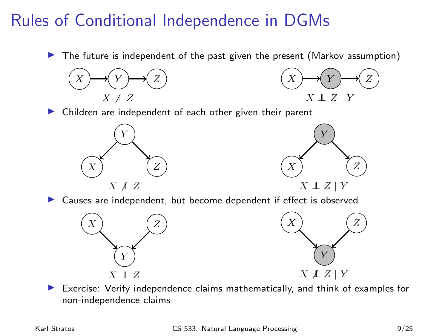## Rules of Conditional Independence in DGMs

 $\blacktriangleright$  The future is independent of the past given the present (Markov assumption)





Children are independent of each other given their parent





Causes are independent, but become dependent if effect is observed



Exercise: Verify independence claims mathematically, and think of examples for non-independence claims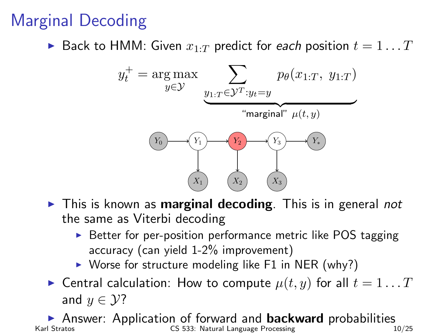# Marginal Decoding

Back to HMM: Given  $x_1 \cdot_T$  predict for each position  $t = 1 \dots T$ 



- $\triangleright$  This is known as **marginal decoding**. This is in general *not* the same as Viterbi decoding
	- $\triangleright$  Better for per-position performance metric like POS tagging accuracy (can yield 1-2% improvement)
	- $\triangleright$  Worse for structure modeling like F1 in NER (why?)
- **Central calculation:** How to compute  $\mu(t, y)$  for all  $t = 1...T$ and  $y \in \mathcal{Y}$ ?

Answer: Application of forward and **backward** probabilities Karl Stratos CS 533: Natural Language Processing CS 533: Natural Language Processing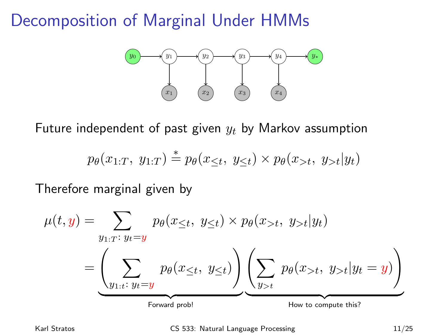#### Decomposition of Marginal Under HMMs



Future independent of past given  $y_t$  by Markov assumption

$$
p_{\theta}(x_{1:T}, y_{1:T}) \stackrel{*}{=} p_{\theta}(x_{\leq t}, y_{\leq t}) \times p_{\theta}(x_{>t}, y_{>t}|y_t)
$$

Therefore marginal given by

$$
\mu(t,y) = \sum_{y_1: T: y_t = y} p_{\theta}(x_{\leq t}, y_{\leq t}) \times p_{\theta}(x_{>t}, y_{>t}|y_t)
$$

$$
= \underbrace{\left(\sum_{y_1: t: y_t = y} p_{\theta}(x_{\leq t}, y_{\leq t})\right)}_{\text{Forward prob!}} \underbrace{\left(\sum_{y_{>t}} p_{\theta}(x_{>t}, y_{>t}|y_t = y)\right)}_{\text{How to compute this?}}
$$

Karl Stratos **CS 533:** Natural Language Processing 11/25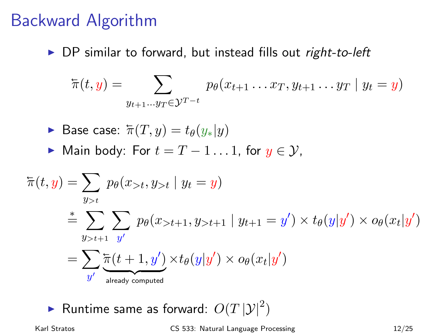#### Backward Algorithm

 $\triangleright$  DP similar to forward, but instead fills out right-to-left

$$
\overleftarrow{\pi}(t,y) = \sum_{y_{t+1} \dots y_T \in \mathcal{Y}^{T-t}} p_{\theta}(x_{t+1} \dots x_T, y_{t+1} \dots y_T \mid y_t = y)
$$

▶ Base case: 
$$
\pi(T, y) = t_{\theta}(y_*|y)
$$

 $\triangleright$  Main body: For  $t = T - 1...1$ , for  $y \in \mathcal{Y}$ ,

$$
\begin{aligned}\n\overleftarrow{\pi}(t,y) &= \sum_{y>t} p_{\theta}(x_{>t}, y_{>t} \mid y_t = y) \\
& \stackrel{*}{=} \sum_{y>t+1} \sum_{y'} p_{\theta}(x_{>t+1}, y_{>t+1} \mid y_{t+1} = y') \times t_{\theta}(y|y') \times o_{\theta}(x_t|y') \\
&= \sum_{y'} \underleftarrow{\pi(t+1,y')}_{\text{already computed}} \times t_{\theta}(y|y') \times o_{\theta}(x_t|y')\n\end{aligned}
$$

 $\blacktriangleright$  Runtime same as forward:  $O(T \, |\mathcal{Y}|^2)$ 

Karl Stratos CS 533: Natural Language Processing 12/25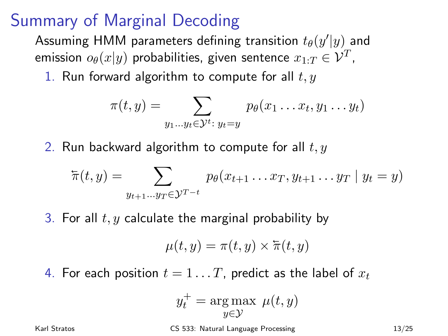#### Summary of Marginal Decoding

Assuming HMM parameters defining transition  $t_{\theta}(y'|y)$  and emission  $o_{\theta}(x|y)$  probabilities, given sentence  $x_{1:T} \in \mathcal{V}^T$ ,

1. Run forward algorithm to compute for all  $t, y$ 

$$
\pi(t,y) = \sum_{y_1 \dots y_t \in \mathcal{Y}^t : y_t = y} p_{\theta}(x_1 \dots x_t, y_1 \dots y_t)
$$

2. Run backward algorithm to compute for all  $t, y$ 

$$
\overline{\pi}(t,y) = \sum_{y_{t+1} \dots y_T \in \mathcal{Y}^{T-t}} p_{\theta}(x_{t+1} \dots x_T, y_{t+1} \dots y_T | y_t = y)
$$

3. For all  $t, y$  calculate the marginal probability by

$$
\mu(t,y) = \pi(t,y) \times \overline{\pi}(t,y)
$$

4. For each position  $t = 1 \dots T$ , predict as the label of  $x_t$ 

$$
y_t^+ = \underset{y \in \mathcal{Y}}{\arg \max} \ \mu(t, y)
$$

Karl Stratos CS 533: Natural Language Processing 13/25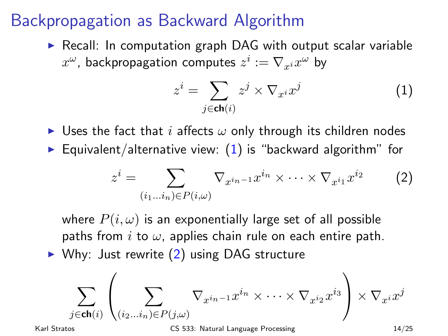#### Backpropagation as Backward Algorithm

 $\triangleright$  Recall: In computation graph DAG with output scalar variable  $x^\omega$ , backpropagation computes  $z^i := \nabla_{x^i} x^\omega$  by

<span id="page-13-1"></span><span id="page-13-0"></span>
$$
z^{i} = \sum_{j \in \mathsf{ch}(i)} z^{j} \times \nabla_{x^{i}} x^{j} \tag{1}
$$

- I Uses the fact that i affects  $\omega$  only through its children nodes
- $\triangleright$  Equivalent/alternative view: [\(1\)](#page-13-0) is "backward algorithm" for

$$
z^{i} = \sum_{(i_1...i_n) \in P(i,\omega)} \nabla_{x^{i_n-1}} x^{i_n} \times \cdots \times \nabla_{x^{i_1}} x^{i_2} \qquad (2)
$$

where  $P(i, \omega)$  is an exponentially large set of all possible paths from i to  $\omega$ , applies chain rule on each entire path.

 $\triangleright$  Why: Just rewrite [\(2\)](#page-13-1) using DAG structure

$$
\sum_{j \in \mathsf{ch}(i)} \left( \sum_{(i_2 \ldots i_n) \in P(j, \omega)} \nabla_{x^{i_n-1}} x^{i_n} \times \cdots \times \nabla_{x^{i_2}} x^{i_3} \right) \times \nabla_{x^i} x^j
$$
\n
$$
\xrightarrow[\text{Karl Stratos}]{}
$$
\n
$$
\xrightarrow[\text{C5 533: Natural Language Processing}]{}
$$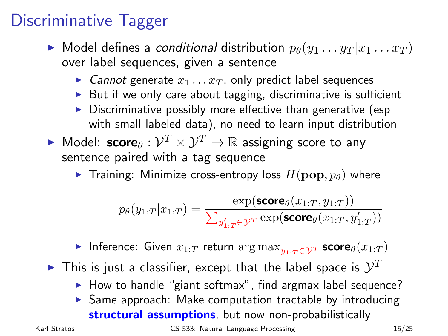## Discriminative Tagger

- $\blacktriangleright$  Model defines a conditional distribution  $p_{\theta}(y_1 \ldots y_T | x_1 \ldots x_T)$ over label sequences, given a sentence
	- Cannot generate  $x_1 \ldots x_T$ , only predict label sequences
	- $\triangleright$  But if we only care about tagging, discriminative is sufficient
	- $\triangleright$  Discriminative possibly more effective than generative (esp with small labeled data), no need to learn input distribution
- $\blacktriangleright$  Model:  $\mathsf{score}_\theta : \mathcal{V}^T \times \mathcal{Y}^T \to \mathbb{R}$  assigning score to any sentence paired with a tag sequence
	- **Figure Training:** Minimize cross-entropy loss  $H(\mathbf{pop}, p_\theta)$  where

$$
p_{\theta}(y_{1:T} | x_{1:T}) = \frac{\exp(\text{score}_{\theta}(x_{1:T}, y_{1:T}))}{\sum_{y'_{1:T} \in \mathcal{Y}^T} \exp(\text{score}_{\theta}(x_{1:T}, y'_{1:T}))}
$$

**Inference:** Given  $x_{1:T}$  return  $\arg \max_{y_1 \cdot \tau \in \mathcal{Y}^T}$  score $\theta(x_{1:T})$ 

- $\blacktriangleright$  This is just a classifier, except that the label space is  $\mathcal{Y}^T$ 
	- $\blacktriangleright$  How to handle "giant softmax", find argmax label sequence?
	- $\triangleright$  Same approach: Make computation tractable by introducing structural assumptions, but now non-probabilistically

Karl Stratos **CS 533:** Natural Language Processing 15/25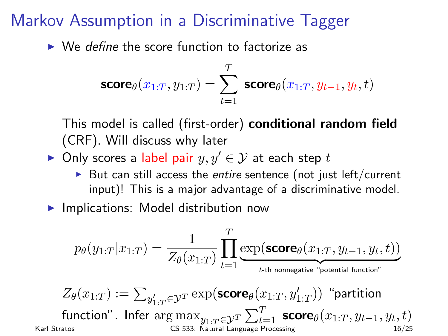#### Markov Assumption in a Discriminative Tagger

 $\triangleright$  We define the score function to factorize as

$$
\text{score}_{\theta}(x_{1:T}, y_{1:T}) = \sum_{t=1}^T \; \text{score}_{\theta}(x_{1:T}, y_{t-1}, y_t, t)
$$

This model is called (first-order) conditional random field (CRF). Will discuss why later

- ► Only scores a label pair  $y, y' \in \mathcal{Y}$  at each step t
	- $\triangleright$  But can still access the entire sentence (not just left/current input)! This is a major advantage of a discriminative model.
- $\blacktriangleright$  Implications: Model distribution now

$$
p_{\theta}(y_{1:T}|x_{1:T}) = \frac{1}{Z_{\theta}(x_{1:T})}\prod_{t=1}^T\underbrace{\exp(\text{score}_{\theta}(x_{1:T},y_{t-1},y_t,t))}_{t\text{-th nonnegative \text{ "potential function"}}}
$$

$$
Z_{\theta}(x_{1:T}) := \sum_{y'_{1:T} \in \mathcal{Y}^T} \exp(\text{score}_{\theta}(x_{1:T}, y'_{1:T})) \text{ "partition} \\ \text{function".}\ \ \text{Infer}\ \arg\max_{y_{1:T} \in \mathcal{Y}^T} \sum_{t=1}^T \text{score}_{\theta}(x_{1:T}, y_{t-1}, y_t, t) \\ \text{cs} \text{ s33: Natural Language Processing} \\ \text{no} \text{ f37: } \text{J67: } \text{J67: } \text{J68: } \text{J68: } \text{J68: } \text{J68: } \text{J68: } \text{J68: } \text{J68: } \text{J68: } \text{J68: } \text{J68: } \text{J68: } \text{J68: } \text{J68: } \text{J68: } \text{J68: } \text{J68: } \text{J68: } \text{J68: } \text{J68: } \text{J68: } \text{J68: } \text{J68: } \text{J68: } \text{J68: } \text{J68: } \text{J68: } \text{J68: } \text{J68: } \text{J68: } \text{J68: } \text{J68: } \text{J68: } \text{J68: } \text{J68: } \text{J68: } \text{J68: } \text{J68: } \text{J68: } \text{J68: } \text{J68: } \text{J68: } \text{J68: } \text{J68: } \text{J68: } \text{J68: } \text{J68: } \text{J68: } \text{J68: } \text{J68: } \text{J68: } \text{J68: } \text{J68: } \text{J68: } \text{J68: } \text{J68: } \text{J68: } \text{J68: } \text{J68: } \text{J68: } \text{J68: } \text{J68: } \text{J68: } \text{J68: } \text{J68: } \text{J68: } \text{J68: } \text{J68: } \text{J68: } \text{J68: } \text{J68: } \text{J68: } \text{J68: } \text{J68: } \text
$$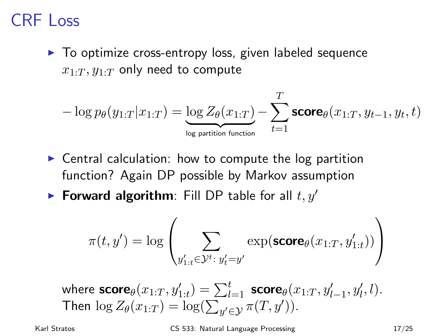#### CRF Loss

 $\triangleright$  To optimize cross-entropy loss, given labeled sequence  $x_1$ .  $y_1$ .  $y_2$  only need to compute

$$
-\log p_{\theta}(y_{1:T}|x_{1:T}) = \underbrace{\log Z_{\theta}(x_{1:T})}_{\log \text{ partition function}} - \sum_{t=1}^{T} \text{score}_{\theta}(x_{1:T}, y_{t-1}, y_t, t)
$$

- $\triangleright$  Central calculation: how to compute the log partition function? Again DP possible by Markov assumption
- **Forward algorithm**: Fill DP table for all  $t, y'$

$$
\pi(t,y') = \log\left(\sum_{y'_{1:t}\in\mathcal{Y}^t:\;y'_t=y'}\exp(\text{score}_\theta(x_{1:T},y'_{1:t}))\right)
$$

where  $\mathsf{score}_{\theta}(x_{1:T}, y'_{1:t}) = \sum_{l=1}^t \; \mathsf{score}_{\theta}(x_{1:T}, y'_{l-1}, y'_{l}, l).$ Then  $\log Z_{\theta}(x_{1:T}) = \log(\sum_{y' \in \mathcal{Y}} \pi(T, y')).$ 

Karl Stratos **CS 533:** Natural Language Processing 17/25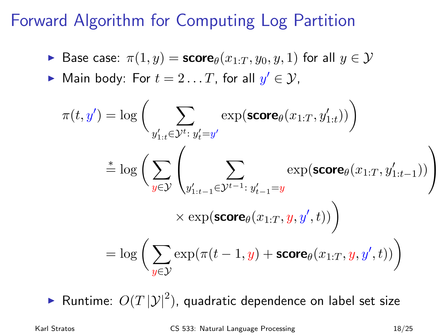#### Forward Algorithm for Computing Log Partition

$$
\quad \blacktriangleright \text{ Base case: } \pi(1,y) = \text{score}_{\theta}(x_{1:T},y_0,y,1) \text{ for all } y \in \mathcal{Y}
$$

► Main body: For  $t = 2...T$ , for all  $y' \in \mathcal{Y}$ ,

$$
\pi(t, y') = \log \bigg( \sum_{y'_{1:t} \in \mathcal{Y}^{t}} \exp(\mathbf{score}_{\theta}(x_{1:T}, y'_{1:t})) \bigg)
$$
  
\n
$$
\stackrel{*}{=} \log \bigg( \sum_{y \in \mathcal{Y}} \left( \sum_{y'_{1:t-1} \in \mathcal{Y}^{t-1}: y'_{t-1} = y} \exp(\mathbf{score}_{\theta}(x_{1:T}, y'_{1:t-1})) \right)
$$
  
\n
$$
\times \exp(\mathbf{score}_{\theta}(x_{1:T}, y, y', t)) \bigg)
$$
  
\n
$$
= \log \bigg( \sum_{y \in \mathcal{Y}} \exp(\pi(t-1, y) + \mathbf{score}_{\theta}(x_{1:T}, y, y', t)) \bigg)
$$

 $\blacktriangleright$  Runtime:  $O(T\,|\mathcal{Y}|^2)$ , quadratic dependence on label set size

Karl Stratos CS 533: Natural Language Processing 18/25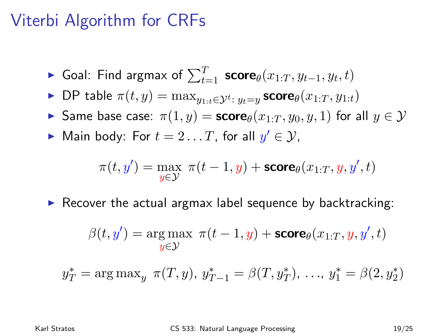#### Viterbi Algorithm for CRFs

- ► Goal: Find argmax of  $\sum_{t=1}^{T}$  score $_{\theta}(x_{1:T}, y_{t-1}, y_t, t)$
- ► DP table  $\pi(t, y) = \max_{y_{1:t} \in \mathcal{Y}^t: y_t = y}$  score $\theta(x_{1:T}, y_{1:t})$
- Same base case:  $\pi(1, y) = \mathsf{score}_{\theta}(x_{1:T}, y_0, y, 1)$  for all  $y \in \mathcal{Y}$
- ► Main body: For  $t = 2 \ldots T$ , for all  $y' \in \mathcal{Y}$ ,

$$
\pi(t,y') = \max_{y \in \mathcal{Y}} \ \pi(t-1,y) + \mathsf{score}_\theta(x_{1:T},y,y',t)
$$

 $\triangleright$  Recover the actual argmax label sequence by backtracking:

$$
\beta(t,y') = \underset{y \in \mathcal{Y}}{\arg\max} \ \pi(t-1,y) + \text{score}_{\theta}(x_{1:T},y,y',t)
$$

$$
y_T^* = \arg \max_y \pi(T, y), y_{T-1}^* = \beta(T, y_T^*), \dots, y_1^* = \beta(2, y_2^*)
$$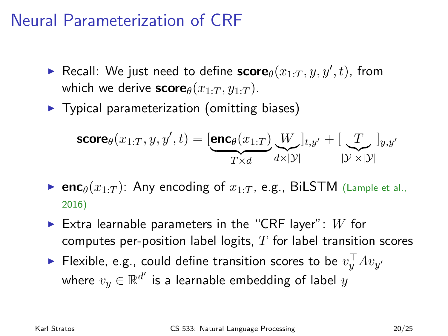#### Neural Parameterization of CRF

- **F** Recall: We just need to define  $\mathbf{score}_{\theta}(x_{1:T}, y, y', t)$ , from which we derive  $score_{\theta}(x_{1:T}, y_{1:T})$ .
- $\blacktriangleright$  Typical parameterization (omitting biases)

$$
\mathbf{score}_{\theta}(x_{1:T}, y, y', t) = [\underbrace{\mathbf{enc}_{\theta}(x_{1:T})}_{T \times d} \underbrace{W}_{d \times |\mathcal{Y}|}]_{t, y'} + [\underbrace{T}_{|\mathcal{Y}| \times |\mathcal{Y}|}]_{y, y'}
$$

- **enc** $\theta(x_1:T)$ : Any encoding of  $x_1:T$ , e.g., BiLSTM (Lample et al., 2016)
- Extra learnable parameters in the "CRF layer":  $W$  for computes per-position label logits,  $T$  for label transition scores
- $\blacktriangleright$  Flexible, e.g., could define transition scores to be  $v_y^\top A v_{y'}$ where  $v_y \in \mathbb{R}^{d'}$  is a learnable embedding of label  $y$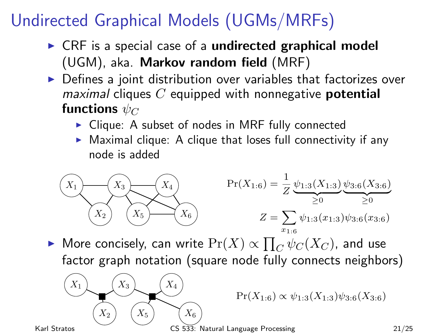# Undirected Graphical Models (UGMs/MRFs)

- $\triangleright$  CRF is a special case of a undirected graphical model (UGM), aka. Markov random field (MRF)
- $\triangleright$  Defines a joint distribution over variables that factorizes over  $maximal$  cliques C equipped with nonnegative **potential** functions  $\psi_C$ 
	- $\triangleright$  Clique: A subset of nodes in MRF fully connected
	- $\triangleright$  Maximal clique: A clique that loses full connectivity if any node is added



► More concisely, can write  $\Pr(X) \propto \prod_{C} \psi_C(X_C)$ , and use factor graph notation (square node fully connects neighbors)



 $Pr(X_{1:6}) \propto \psi_{1:3}(X_{1:3})\psi_{3:6}(X_{3:6})$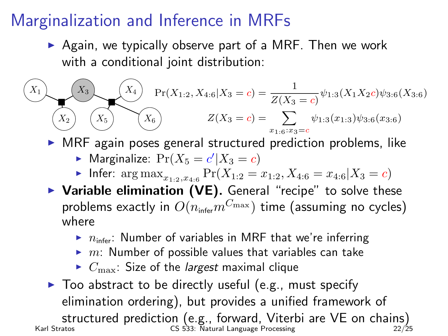## Marginalization and Inference in MRFs

 $\triangleright$  Again, we typically observe part of a MRF. Then we work with a conditional joint distribution:

$$
(X_1)
$$
\n
$$
(X_2)
$$
\n
$$
(X_3)
$$
\n
$$
(X_4)
$$
\n
$$
Pr(X_{1:2}, X_{4:6}|X_3 = c) = \frac{1}{Z(X_3 = c)}\psi_{1:3}(X_1X_2c)\psi_{3:6}(X_{3:6})
$$
\n
$$
Z(X_3 = c) = \sum_{x_{1:6}:x_{3}=c}\psi_{1:3}(x_{1:3})\psi_{3:6}(x_{3:6})
$$

 $\triangleright$  MRF again poses general structured prediction problems, like

- $\blacktriangleright$  Marginalize:  $Pr(X_5 = c'|X_3 = c)$
- Infer:  $\arg \max_{x_{1:2}, x_{4:6}} \Pr(X_{1:2}=x_{1:2}, X_{4:6}=x_{4:6}|X_3=c)$
- $\triangleright$  Variable elimination (VE). General "recipe" to solve these problems exactly in  $O(n_{\text{infer}}m^{C_{\text{max}}})$  time (assuming no cycles) where
	- $\triangleright$   $n_{\text{infer}}$ : Number of variables in MRF that we're inferring
	- $\blacktriangleright$  m: Number of possible values that variables can take
	- $\triangleright$   $C_{\text{max}}$ : Size of the *largest* maximal clique
- $\blacktriangleright$  Too abstract to be directly useful (e.g., must specify elimination ordering), but provides a unified framework of structured prediction (e.g., forward, Viterbi are VE on chains)<br>Karl Stratos (S 533: Natural Language Processing<br>22/25

CS 533: Natural Language Processing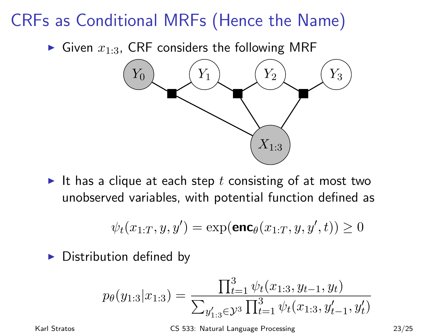## CRFs as Conditional MRFs (Hence the Name)

Given  $x_{1:3}$ , CRF considers the following MRF



It has a clique at each step t consisting of at most two unobserved variables, with potential function defined as

$$
\psi_t(x_{1:T}, y, y') = \exp(\mathsf{enc}_\theta(x_{1:T}, y, y', t)) \ge 0
$$

 $\triangleright$  Distribution defined by

$$
p_{\theta}(y_{1:3}|x_{1:3}) = \frac{\prod_{t=1}^{3} \psi_t(x_{1:3}, y_{t-1}, y_t)}{\sum_{y'_{1:3} \in \mathcal{Y}^3} \prod_{t=1}^{3} \psi_t(x_{1:3}, y'_{t-1}, y'_t)}
$$

Karl Stratos CS 533: Natural Language Processing 23/25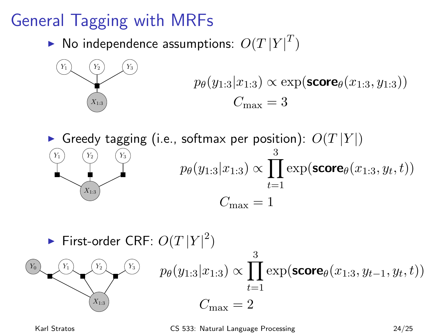# General Tagging with MRFs

 $\blacktriangleright$  No independence assumptions:  $O(T\left|Y\right|^T)$ 



$$
p_{\theta}(y_{1:3}|x_{1:3}) \propto \exp(\text{score}_{\theta}(x_{1:3}, y_{1:3}))
$$

$$
C_{\max} = 3
$$

Greedy tagging (i.e., softmax per position):  $O(T|Y|)$  $Y_1$ )  $(Y_2)$   $(Y_3)$  $X_{1}$  $p_{\theta}(y_{1:3}|x_{1:3}) \propto \prod \exp(\mathsf{score}_{\theta}(x_{1:3},y_t,t))$ 3  $_{t=1}$  $C_{\text{max}} = 1$ 

First-order CRF:  $O(T|Y|^2)$  $Y_0$   $(Y_1)$   $(Y_2)$   $(Y_3)$  $X_{1:3}$  $p_{\theta}(y_{1:3}|x_{1:3}) \propto \prod \exp(\mathsf{score}_{\theta}(x_{1:3},y_{t-1},y_t,t))$ 3  $t=1$  $C_{\text{max}} = 2$ 

Karl Stratos CS 533: Natural Language Processing 24/25